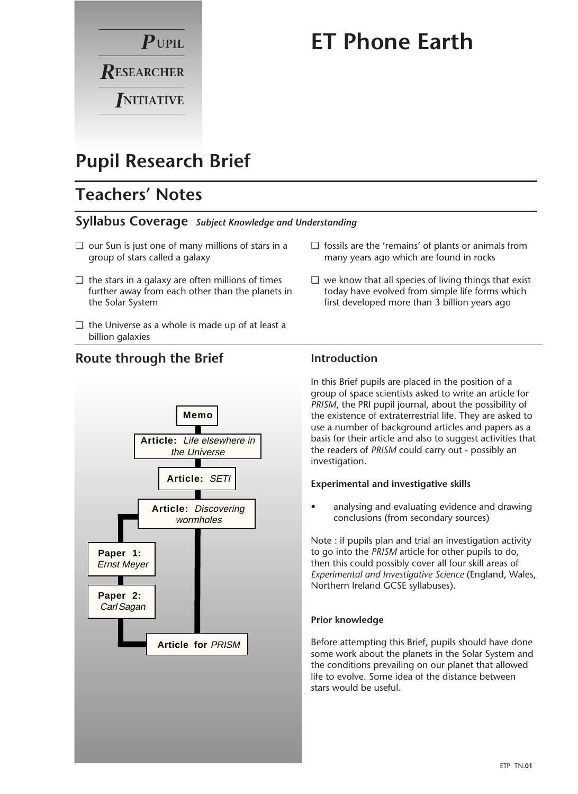

# **ET Phone Earth**

# **Pupil Research Brief**

# **Teachers' Notes**

## **Syllabus Coverage** *Subject Knowledge and Understanding*

- ❑ our Sun is just one of many millions of stars in a group of stars called a galaxy
- $\Box$  the stars in a galaxy are often millions of times further away from each other than the planets in the Solar System
- $\Box$  the Universe as a whole is made up of at least a billion galaxies

**Route through the Brief**



#### $\Box$  we know that all species of living things that exist today have evolved from simple life forms which

first developed more than 3 billion years ago

❑ fossils are the 'remains' of plants or animals from many years ago which are found in rocks

# **Introduction**

In this Brief pupils are placed in the position of a group of space scientists asked to write an article for *PRISM*, the PRI pupil journal, about the possibility of the existence of extraterrestrial life. They are asked to use a number of background articles and papers as a basis for their article and also to suggest activities that the readers of *PRISM* could carry out - possibly an investigation.

## **Experimental and investigative skills**

• analysing and evaluating evidence and drawing conclusions (from secondary sources)

Note : if pupils plan and trial an investigation activity to go into the *PRISM* article for other pupils to do, then this could possibly cover all four skill areas of *Experimental and Investigative Science* (England, Wales, Northern Ireland GCSE syllabuses).

## **Prior knowledge**

Before attempting this Brief, pupils should have done some work about the planets in the Solar System and the conditions prevailing on our planet that allowed life to evolve. Some idea of the distance between stars would be useful.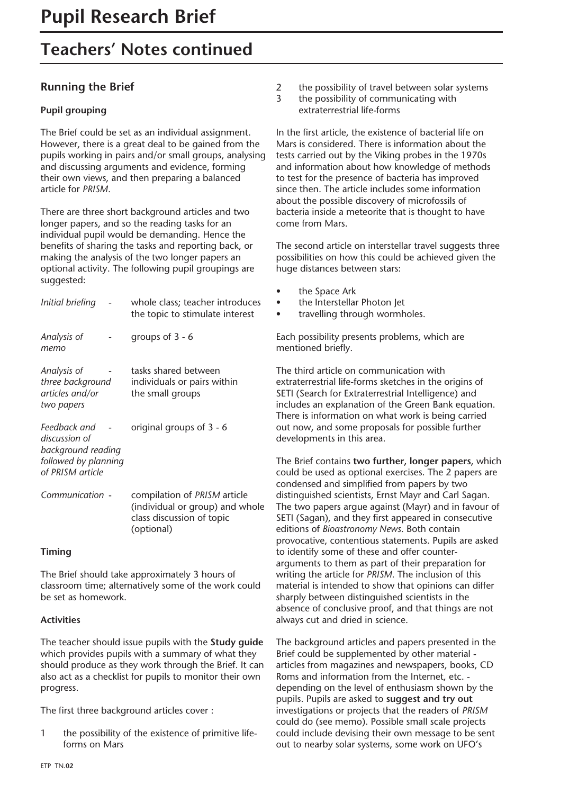# **Teachers' Notes continued**

# **Running the Brief**

# **Pupil grouping**

The Brief could be set as an individual assignment. However, there is a great deal to be gained from the pupils working in pairs and/or small groups, analysing and discussing arguments and evidence, forming their own views, and then preparing a balanced article for *PRISM*.

There are three short background articles and two longer papers, and so the reading tasks for an individual pupil would be demanding. Hence the benefits of sharing the tasks and reporting back, or making the analysis of the two longer papers an optional activity. The following pupil groupings are suggested:

| Initial briefing                                                                                | whole class; teacher introduces<br>the topic to stimulate interest                                         |
|-------------------------------------------------------------------------------------------------|------------------------------------------------------------------------------------------------------------|
| Analysis of<br>тето                                                                             | groups of $3 - 6$                                                                                          |
| Analysis of<br>three background<br>articles and/or<br>two papers                                | tasks shared between<br>individuals or pairs within<br>the small groups                                    |
| Feedback and<br>discussion of<br>background reading<br>followed by planning<br>of PRISM article | original groups of 3 - 6                                                                                   |
| Communication -                                                                                 | compilation of PRISM article<br>(individual or group) and whole<br>class discussion of topic<br>(optional) |

# **Timing**

The Brief should take approximately 3 hours of classroom time; alternatively some of the work could be set as homework.

# **Activities**

The teacher should issue pupils with the **Study guide** which provides pupils with a summary of what they should produce as they work through the Brief. It can also act as a checklist for pupils to monitor their own progress.

The first three background articles cover :

1 the possibility of the existence of primitive lifeforms on Mars

- 2 the possibility of travel between solar systems
- 3 the possibility of communicating with extraterrestrial life-forms

In the first article, the existence of bacterial life on Mars is considered. There is information about the tests carried out by the Viking probes in the 1970s and information about how knowledge of methods to test for the presence of bacteria has improved since then. The article includes some information about the possible discovery of microfossils of bacteria inside a meteorite that is thought to have come from Mars.

The second article on interstellar travel suggests three possibilities on how this could be achieved given the huge distances between stars:

the Space Ark • the Interstellar Photon Jet • travelling through wormholes. Each possibility presents problems, which are mentioned briefly. The third article on communication with extraterrestrial life-forms sketches in the origins of SETI (Search for Extraterrestrial Intelligence) and includes an explanation of the Green Bank equation. There is information on what work is being carried out now, and some proposals for possible further developments in this area.

The Brief contains **two further, longer papers**, which could be used as optional exercises. The 2 papers are condensed and simplified from papers by two distinguished scientists, Ernst Mayr and Carl Sagan. The two papers argue against (Mayr) and in favour of SETI (Sagan), and they first appeared in consecutive editions of *Bioastronomy News*. Both contain provocative, contentious statements. Pupils are asked to identify some of these and offer counterarguments to them as part of their preparation for writing the article for *PRISM*. The inclusion of this material is intended to show that opinions can differ sharply between distinguished scientists in the absence of conclusive proof, and that things are not always cut and dried in science.

The background articles and papers presented in the Brief could be supplemented by other material articles from magazines and newspapers, books, CD Roms and information from the Internet, etc. depending on the level of enthusiasm shown by the pupils. Pupils are asked to **suggest and try out** investigations or projects that the readers of *PRISM* could do (see memo). Possible small scale projects could include devising their own message to be sent out to nearby solar systems, some work on UFO's